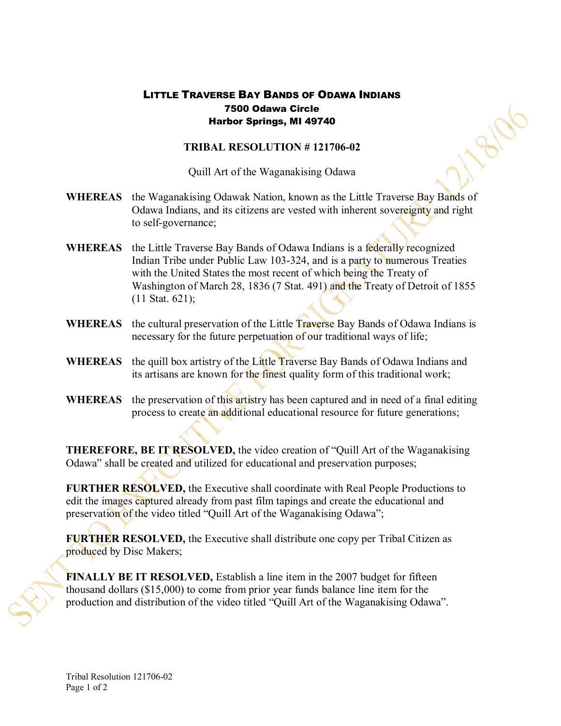## LITTLE TRAVERSE BAY BANDS OF ODAWA INDIANS 7500 Odawa Circle Harbor Springs, MI 49740

## **TRIBAL RESOLUTION #121706-02**

8106

Quill Art of the Waganakising Odawa

- **WHEREAS** the Waganakising Odawak Nation, known as the Little Traverse Bay Bands of Odawa Indians, and its citizens are vested with inherent sovereignty and right to self-governance;
- **WHEREAS** the Little Traverse Bay Bands of Odawa Indians is a federally recognized Indian Tribe under Public Law 103-324, and is a party to numerous Treaties with the United States the most recent of which being the Treaty of Washington of March 28, 1836 (7 Stat. 491) and the Treaty of Detroit of 1855 (11 Stat. 621);
- **WHEREAS** the cultural preservation of the Little Traverse Bay Bands of Odawa Indians is necessary for the future perpetuation of our traditional ways of life;
- **WHEREAS** the quill box artistry of the Little Traverse Bay Bands of Odawa Indians and its artisans are known for the finest quality form of this traditional work;
- **WHEREAS** the preservation of this artistry has been captured and in need of a final editing process to create an additional educational resource for future generations;

**THEREFORE, BE IT RESOLVED,** the video creation of "Quill Art of the Waganakising Odawa" shall be created and utilized for educational and preservation purposes;

**FURTHER RESOLVED,** the Executive shall coordinate with Real People Productions to edit the images captured already from past film tapings and create the educational and preservation of the video titled "Quill Art of the Waganakising Odawa";

**FURTHER RESOLVED,** the Executive shall distribute one copy per Tribal Citizen as produced by Disc Makers;

**FINALLY BE IT RESOLVED,** Establish a line item in the 2007 budget for fifteen thousand dollars (\$15,000) to come from prior year funds balance line item forthe production and distribution of the video titled "Quill Art of the Waganakising Odawa".